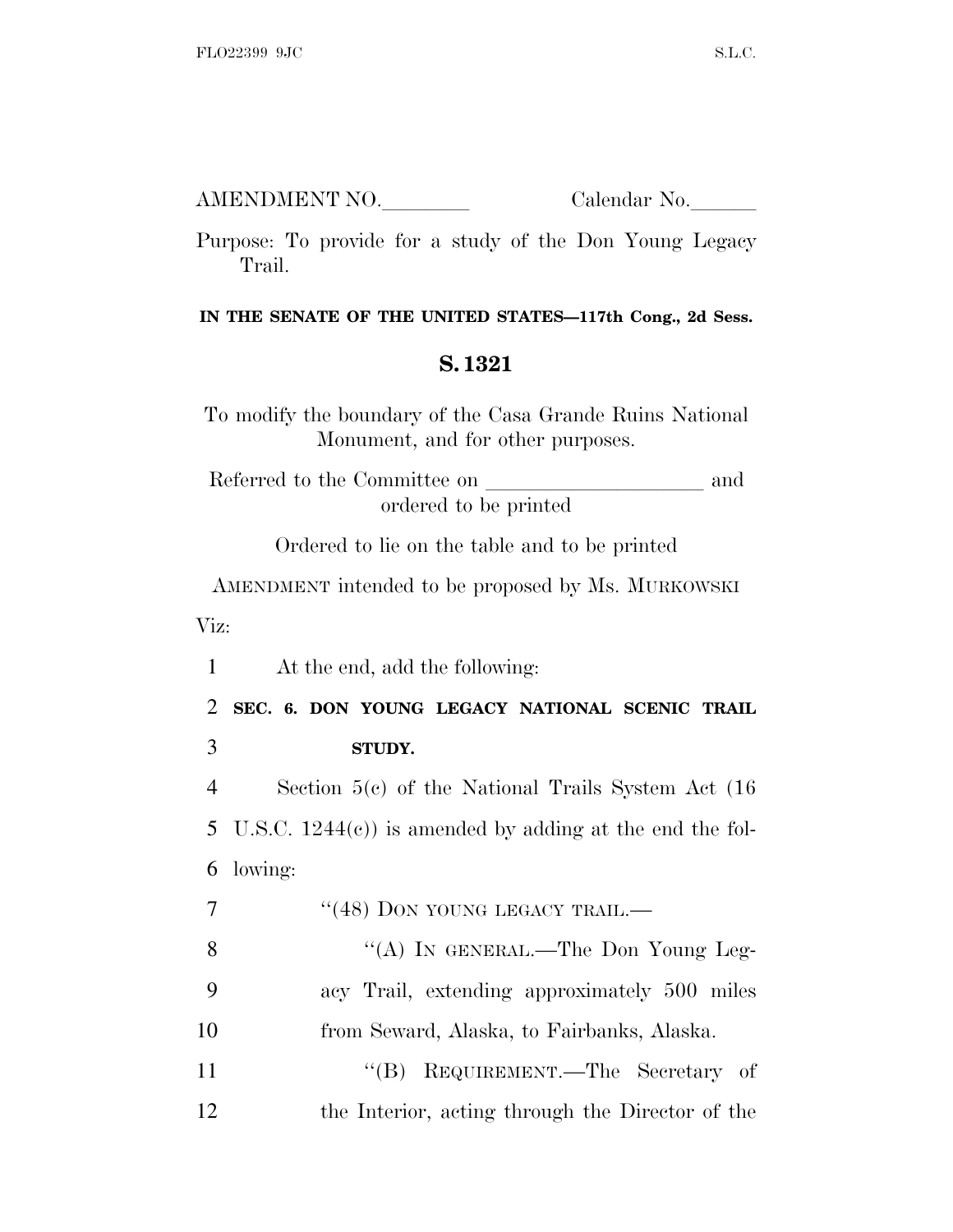| AMENDMENT NO. | Calendar No. |
|---------------|--------------|
|               |              |

Purpose: To provide for a study of the Don Young Legacy Trail.

## **IN THE SENATE OF THE UNITED STATES—117th Cong., 2d Sess.**

## **S. 1321**

To modify the boundary of the Casa Grande Ruins National Monument, and for other purposes.

Referred to the Committee on and ordered to be printed

Ordered to lie on the table and to be printed

AMENDMENT intended to be proposed by Ms. MURKOWSKI Viz:

1 At the end, add the following:

2 **SEC. 6. DON YOUNG LEGACY NATIONAL SCENIC TRAIL** 3 **STUDY.**

4 Section 5(c) of the National Trails System Act (16 5 U.S.C. 1244(c)) is amended by adding at the end the fol-6 lowing:

- 7 "(48) DON YOUNG LEGACY TRAIL.—
- 8 "(A) In GENERAL.—The Don Young Leg-9 acy Trail, extending approximately 500 miles 10 from Seward, Alaska, to Fairbanks, Alaska.

11 "'(B) REQUIREMENT.—The Secretary of 12 the Interior, acting through the Director of the